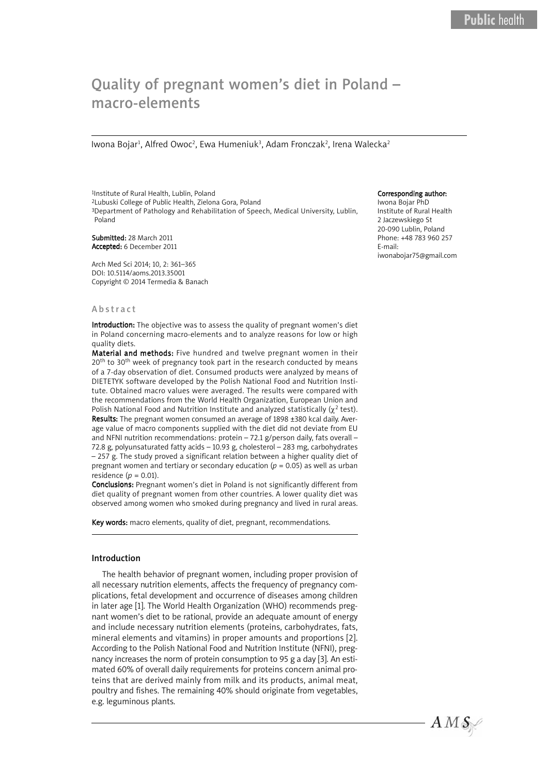# Quality of pregnant women's diet in Poland – Quality of pregnant women's diet in Poland – macro-elements macro-elements

Iwona Bojar<sup>1</sup>, Alfred Owoc<sup>2</sup>, Ewa Humeniuk<sup>3</sup>, Adam Fronczak<sup>2</sup>, Irena Walecka<sup>2</sup>

1Institute of Rural Health, Lublin, Poland 2Lubuski College of Public Health, Zielona Gora, Poland <sup>3</sup>Department of Pathology and Rehabilitation of Speech, Medical University, Lublin, Poland

Submitted: 28 March 2011 Accepted: 6 December 2011

Arch Med Sci 2014; 10, 2: 361–365 DOI: 10.5114/aoms.2013.35001 Copyright © 2014 Termedia & Banach

#### A b s tr a c t

Introduction: The objective was to assess the quality of pregnant women's diet in Poland concerning macro-elements and to analyze reasons for low or high quality diets.

Material and methods: Five hundred and twelve pregnant women in their 20<sup>th</sup> to 30<sup>th</sup> week of pregnancy took part in the research conducted by means of a 7-day observation of diet. Consumed products were analyzed by means of DIETETYK software developed by the Polish National Food and Nutrition Institute. Obtained macro values were averaged. The results were compared with the recommendations from the World Health Organization, European Union and Polish National Food and Nutrition Institute and analyzed statistically  $(\chi^2 \text{ test})$ . Results: The pregnant women consumed an average of 1898 ±380 kcal daily. Average value of macro components supplied with the diet did not deviate from EU and NFNI nutrition recommendations: protein - 72.1 g/person daily, fats overall -72.8 g, polyunsaturated fatty acids – 10.93 g, cholesterol – 283 mg, carbohydrates – 257 g. The study proved a significant relation between a higher quality diet of pregnant women and tertiary or secondary education ( $p = 0.05$ ) as well as urban residence  $(p = 0.01)$ .

Conclusions: Pregnant women's diet in Poland is not significantly different from diet quality of pregnant women from other countries. A lower quality diet was observed among women who smoked during pregnancy and lived in rural areas.

Key words: macro elements, quality of diet, pregnant, recommendations.

## Introduction

The health behavior of pregnant women, including proper provision of all necessary nutrition elements, affects the frequency of pregnancy complications, fetal development and occurrence of diseases among children in later age [1]. The World Health Organization (WHO) recommends pregnant women's diet to be rational, provide an adequate amount of energy and include necessary nutrition elements (proteins, carbohydrates, fats, mineral elements and vitamins) in proper amounts and proportions [2]. According to the Polish National Food and Nutrition Institute (NFNI), pregnancy increases the norm of protein consumption to 95 g a day [3]. An estimated 60% of overall daily requirements for proteins concern animal proteins that are derived mainly from milk and its products, animal meat, poultry and fishes. The remaining 40% should originate from vegetables, e.g. leguminous plants.

#### Corresponding author:

Iwona Bojar PhD Institute of Rural Health 2 Jaczewskiego St 20-090 Lublin, Poland Phone: +48 783 960 257 E-mail: iwonabojar75@gmail.com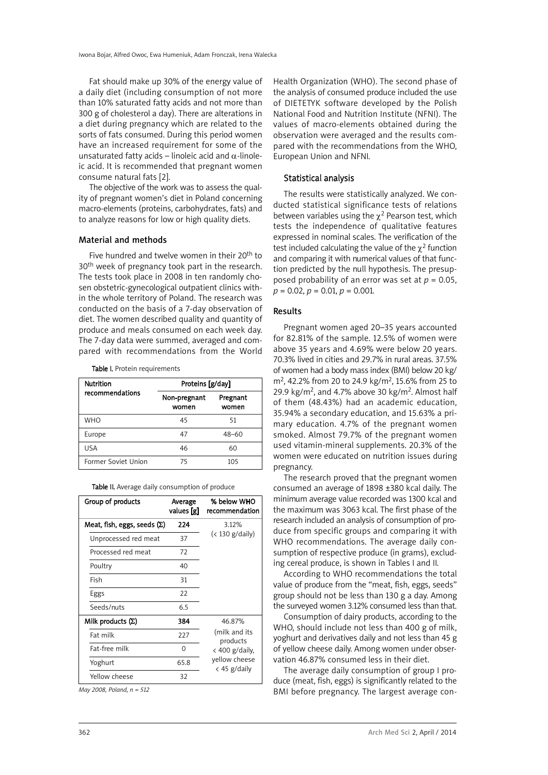Fat should make up 30% of the energy value of a daily diet (including consumption of not more than 10% saturated fatty acids and not more than 300 g of cholesterol a day). There are alterations in a diet during pregnancy which are related to the sorts of fats consumed. During this period women have an increased requirement for some of the unsaturated fatty acids – linoleic acid and  $\alpha$ -linoleic acid. It is recommended that pregnant women consume natural fats [2].

The objective of the work was to assess the quality of pregnant women's diet in Poland concerning macro-elements (proteins, carbohydrates, fats) and to analyze reasons for low or high quality diets.

## Material and methods

Five hundred and twelve women in their 20<sup>th</sup> to 30<sup>th</sup> week of pregnancy took part in the research. The tests took place in 2008 in ten randomly chosen obstetric-gynecological outpatient clinics within the whole territory of Poland. The research was conducted on the basis of a 7-day observation of diet. The women described quality and quantity of produce and meals consumed on each week day. The 7-day data were summed, averaged and compared with recommendations from the World

Table I. Protein requirements

| <b>Nutrition</b>    | Proteins [g/day]      |                   |  |
|---------------------|-----------------------|-------------------|--|
| recommendations     | Non-pregnant<br>women | Pregnant<br>women |  |
| WHO                 | 45                    | 51                |  |
| Europe              | 47                    | $48 - 60$         |  |
| USA                 | 46                    | 60                |  |
| Former Soviet Union | 75                    | 105               |  |

| Group of products                  | Average<br>values [g] | % below WHO<br>recommendation   |  |
|------------------------------------|-----------------------|---------------------------------|--|
| Meat, fish, eggs, seeds $(\Sigma)$ | 224                   | 3.12%                           |  |
| Unprocessed red meat               | 37                    | $(< 130$ g/daily)               |  |
| Processed red meat                 | 72                    |                                 |  |
| Poultry                            | 40                    |                                 |  |
| Fish                               | 31                    |                                 |  |
| Eggs                               | 22                    |                                 |  |
| Seeds/nuts                         | 6.5                   |                                 |  |
| Milk products $(\Sigma)$           | 384                   | 46.87%                          |  |
| Fat milk                           | 227                   | (milk and its<br>products       |  |
| Fat-free milk                      | 0                     | $\langle$ 400 g/daily,          |  |
| Yoghurt                            | 65.8                  | yellow cheese<br>$<$ 45 g/daily |  |
| Yellow cheese                      | 32                    |                                 |  |

*May 2008, Poland, n = 512*

Health Organization (WHO). The second phase of the analysis of consumed produce included the use of DIETETYK software developed by the Polish National Food and Nutrition Institute (NFNI). The values of macro-elements obtained during the observation were averaged and the results compared with the recommendations from the WHO, European Union and NFNI.

## Statistical analysis

The results were statistically analyzed. We conducted statistical significance tests of relations between variables using the  $\chi^2$  Pearson test, which tests the independence of qualitative features expressed in nominal scales. The verification of the test included calculating the value of the  $\gamma^2$  function and comparing it with numerical values of that function predicted by the null hypothesis. The presupposed probability of an error was set at  $p = 0.05$ ,  $p = 0.02, p = 0.01, p = 0.001$ .

#### Results

Pregnant women aged 20–35 years accounted for 82.81% of the sample. 12.5% of women were above 35 years and 4.69% were below 20 years. 70.3% lived in cities and 29.7% in rural areas. 37.5% of women had a body mass index (BMI) below 20 kg/  $m^2$ , 42.2% from 20 to 24.9 kg/m<sup>2</sup>, 15.6% from 25 to 29.9 kg/m<sup>2</sup>, and 4.7% above 30 kg/m<sup>2</sup>. Almost half of them (48.43%) had an academic education, 35.94% a secondary education, and 15.63% a primary education. 4.7% of the pregnant women smoked. Almost 79.7% of the pregnant women used vitamin-mineral supplements. 20.3% of the women were educated on nutrition issues during pregnancy.

The research proved that the pregnant women consumed an average of 1898 ±380 kcal daily. The minimum average value recorded was 1300 kcal and the maximum was 3063 kcal. The first phase of the research included an analysis of consumption of produce from specific groups and comparing it with WHO recommendations. The average daily consumption of respective produce (in grams), excluding cereal produce, is shown in Tables I and II.

According to WHO recommendations the total value of produce from the "meat, fish, eggs, seeds" group should not be less than 130 g a day. Among the surveyed women 3.12% consumed less than that.

Consumption of dairy products, according to the WHO, should include not less than 400 g of milk, yoghurt and derivatives daily and not less than 45 g of yellow cheese daily. Among women under observation 46.87% consumed less in their diet.

The average daily consumption of group I produce (meat, fish, eggs) is significantly related to the BMI before pregnancy. The largest average con-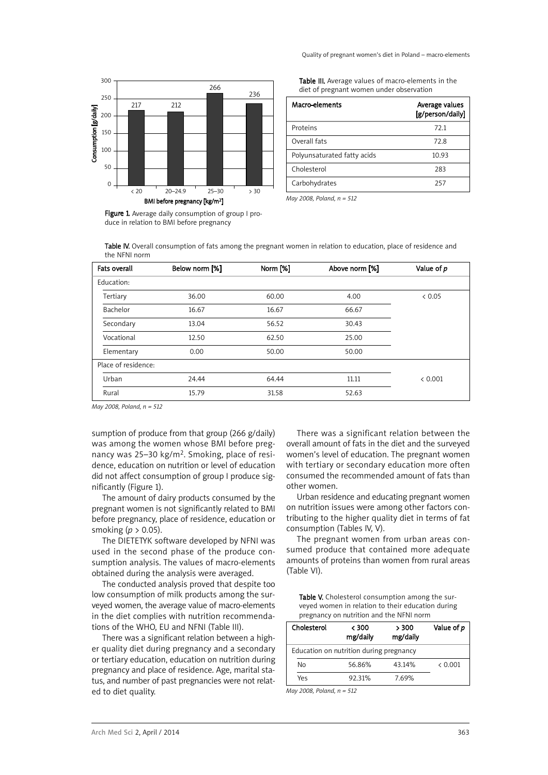

Figure 1. Average daily consumption of group I produce in relation to BMI before pregnancy

Table III. Average values of macro-elements in the diet of pregnant women under observation

| Macro-elements              | Average values<br>[g/person/daily] |
|-----------------------------|------------------------------------|
| Proteins                    | 72.1                               |
| Overall fats                | 72.8                               |
| Polyunsaturated fatty acids | 10.93                              |
| Cholesterol                 | 283                                |
| Carbohydrates               | 257                                |

*May 2008, Poland, n = 512*

Table IV. Overall consumption of fats among the pregnant women in relation to education, place of residence and the NFNI norm

| <b>Fats overall</b> | Below norm [%] | Norm [%] | Above norm [%] | Value of p |
|---------------------|----------------|----------|----------------|------------|
| Education:          |                |          |                |            |
| Tertiary            | 36.00          | 60.00    | 4.00           | & 0.05     |
| Bachelor            | 16.67          | 16.67    | 66.67          |            |
| Secondary           | 13.04          | 56.52    | 30.43          |            |
| Vocational          | 12.50          | 62.50    | 25.00          |            |
| Elementary          | 0.00           | 50.00    | 50.00          |            |
| Place of residence: |                |          |                |            |
| Urban               | 24.44          | 64.44    | 11.11          | < 0.001    |
| Rural               | 15.79          | 31.58    | 52.63          |            |

*May 2008, Poland, n = 512*

sumption of produce from that group (266 g/daily) was among the women whose BMI before pregnancy was 25–30 kg/m2. Smoking, place of residence, education on nutrition or level of education did not affect consumption of group I produce significantly (Figure 1).

The amount of dairy products consumed by the pregnant women is not significantly related to BMI before pregnancy, place of residence, education or smoking (*p* > 0.05).

The DIETETYK software developed by NFNI was used in the second phase of the produce consumption analysis. The values of macro-elements obtained during the analysis were averaged.

The conducted analysis proved that despite too low consumption of milk products among the surveyed women, the average value of macro-elements in the diet complies with nutrition recommendations of the WHO, EU and NFNI (Table III).

There was a significant relation between a higher quality diet during pregnancy and a secondary or tertiary education, education on nutrition during pregnancy and place of residence. Age, marital status, and number of past pregnancies were not related to diet quality.

There was a significant relation between the overall amount of fats in the diet and the surveyed women's level of education. The pregnant women with tertiary or secondary education more often consumed the recommended amount of fats than other women.

Urban residence and educating pregnant women on nutrition issues were among other factors contributing to the higher quality diet in terms of fat consumption (Tables IV, V).

The pregnant women from urban areas consumed produce that contained more adequate amounts of proteins than women from rural areas (Table VI).

Table V. Cholesterol consumption among the surveyed women in relation to their education during pregnancy on nutrition and the NFNI norm

| Cholesterol                             | < 300<br>mg/daily | > 300<br>mg/daily | Value of p |
|-----------------------------------------|-------------------|-------------------|------------|
| Education on nutrition during pregnancy |                   |                   |            |
| No                                      | 56.86%            | 43.14%            | & 0.001    |
| Yes                                     | 92.31%            | 7.69%             |            |

*May 2008, Poland, n = 512*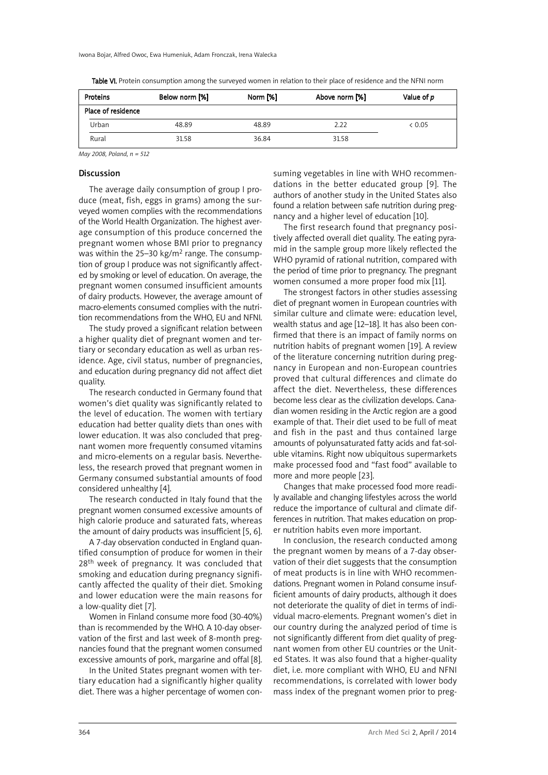| Proteins           | Below norm [%] | Norm [%] | Above norm [%] | Value of <i>p</i> |
|--------------------|----------------|----------|----------------|-------------------|
| Place of residence |                |          |                |                   |
| Urban              | 48.89          | 48.89    | 2.22           | < 0.05            |
| Rural              | 31.58          | 36.84    | 31.58          |                   |

Table VI. Protein consumption among the surveyed women in relation to their place of residence and the NFNI norm

*May 2008, Poland, n = 512*

## **Discussion**

The average daily consumption of group I produce (meat, fish, eggs in grams) among the surveyed women complies with the recommendations of the World Health Organization. The highest average consumption of this produce concerned the pregnant women whose BMI prior to pregnancy was within the 25–30 kg/m<sup>2</sup> range. The consumption of group I produce was not significantly affected by smoking or level of education. On average, the pregnant women consumed insufficient amounts of dairy products. However, the average amount of macro-elements consumed complies with the nutrition recommendations from the WHO, EU and NFNI.

The study proved a significant relation between a higher quality diet of pregnant women and tertiary or secondary education as well as urban residence. Age, civil status, number of pregnancies, and education during pregnancy did not affect diet quality.

The research conducted in Germany found that women's diet quality was significantly related to the level of education. The women with tertiary education had better quality diets than ones with lower education. It was also concluded that pregnant women more frequently consumed vitamins and micro-elements on a regular basis. Nevertheless, the research proved that pregnant women in Germany consumed substantial amounts of food considered unhealthy [4].

The research conducted in Italy found that the pregnant women consumed excessive amounts of high calorie produce and saturated fats, whereas the amount of dairy products was insufficient [5, 6].

A 7-day observation conducted in England quantified consumption of produce for women in their 28<sup>th</sup> week of pregnancy. It was concluded that smoking and education during pregnancy significantly affected the quality of their diet. Smoking and lower education were the main reasons for a low-quality diet [7].

Women in Finland consume more food (30-40%) than is recommended by the WHO. A 10-day observation of the first and last week of 8-month pregnancies found that the pregnant women consumed excessive amounts of pork, margarine and offal [8].

In the United States pregnant women with tertiary education had a significantly higher quality diet. There was a higher percentage of women consuming vegetables in line with WHO recommendations in the better educated group [9]. The authors of another study in the United States also found a relation between safe nutrition during pregnancy and a higher level of education [10].

The first research found that pregnancy positively affected overall diet quality. The eating pyramid in the sample group more likely reflected the WHO pyramid of rational nutrition, compared with the period of time prior to pregnancy. The pregnant women consumed a more proper food mix [11].

The strongest factors in other studies assessing diet of pregnant women in European countries with similar culture and climate were: education level, wealth status and age [12–18]. It has also been confirmed that there is an impact of family norms on nutrition habits of pregnant women [19]. A review of the literature concerning nutrition during pregnancy in European and non-European countries proved that cultural differences and climate do affect the diet. Nevertheless, these differences become less clear as the civilization develops. Canadian women residing in the Arctic region are a good example of that. Their diet used to be full of meat and fish in the past and thus contained large amounts of polyunsaturated fatty acids and fat-soluble vitamins. Right now ubiquitous supermarkets make processed food and "fast food" available to more and more people [23].

Changes that make processed food more readily available and changing lifestyles across the world reduce the importance of cultural and climate differences in nutrition. That makes education on proper nutrition habits even more important.

In conclusion, the research conducted among the pregnant women by means of a 7-day observation of their diet suggests that the consumption of meat products is in line with WHO recommendations. Pregnant women in Poland consume insufficient amounts of dairy products, although it does not deteriorate the quality of diet in terms of individual macro-elements. Pregnant women's diet in our country during the analyzed period of time is not significantly different from diet quality of pregnant women from other EU countries or the United States. It was also found that a higher-quality diet, i.e. more compliant with WHO, EU and NFNI recommendations, is correlated with lower body mass index of the pregnant women prior to preg